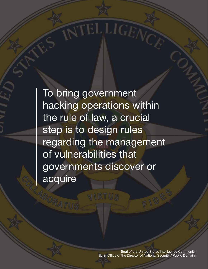To bring government hacking operations within the rule of law, a crucial step is to design rules regarding the management of vulnerabilities that governments discover or acquire

**TTELLIGEA** 

**Seal** of the United States Intelligence Community (U.S. Office of the Director of National Security / Public Domain)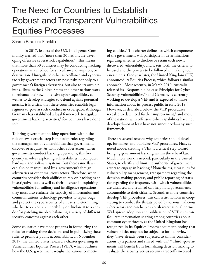## The Need for Countries to Establish Robust and Transparent Vulnerabilities Equities Processes

## Sharon Bradford Franklin

In 2017, leaders of the U.S. Intelligence Community warned that "more than 30 nations are developing offensive cyberattack capabilities."<sup>1</sup> This means that more than 30 countries may be conducting hacking operations as a method for surveillance, disruption, or destruction. Unregulated cyber surveillance and cyberattacks by government actors can pose risks not only to a government's foreign adversaries, but also to its own citizens. Thus, as the United States and other nations work to enhance their own ofensive cyber capabilities, as well as to develop strategies to defend against potential attacks, it is critical that these countries establish legal regimes to govern such conduct in cyberspace. Although Germany has established a legal framework to regulate government hacking activities, $^2$  few countries have done  $\mathrm{so.}^3$ 

To bring government hacking operations within the rule of law, a crucial step is to design rules regarding the management of vulnerabilities that governments discover or acquire. As with other cyber actors, when governments conduct hacking operations, this frequently involves exploiting vulnerabilities in computer hardware and software systems. But these same faws can also be manipulated by a government's foreign adversaries or other malicious actors. Therefore, when countries consider their abilities to rely on hacking as an investigative tool, as well as their interests in exploiting vulnerabilities for military and intelligence operations, they must also evaluate the capacity of information and communications technology providers to repair bugs and protect the cybersecurity of all users. Determining whether to exploit a vulnerability or disclose it to a vendor for patching involves balancing a variety of diferent security concerns against each other.

Some countries have made progress in formalizing the rules for making these decisions and in publicizing these rules to promote public accountability. In November 2017, the United States released a charter governing its Vulnerabilities Equities Process (VEP), which outlines how the U.S. government weighs the various competing equities.<sup>4</sup> The charter delineates which components of the government will participate in determinations regarding whether to disclose or retain each newly discovered vulnerability, and it sets forth the criteria to be used and the process to be followed in making such assessments. One year later, the United Kingdom (UK) announced its Equities Process, which follows a similar approach.5 Most recently, in March 2019, Australia released its "Responsible Release Principles for Cyber Security Vulnerabilities,"6 and Germany is currently working to develop a VEP and is expected to make information about its process public in early 2019.<sup>7</sup> However, as described below, the VEP procedures revealed to date need further improvement,<sup>8</sup> and most of the nations with ofensive cyber capabilities have not developed—or at least have not announced—any such framework.

There are several reasons why countries should develop, formalize, and publicize VEP procedures. First, as noted above, creating a VEP is a critical step toward bringing government hacking within the rule of law. Much more work is needed, particularly in the United States, to clarify and limit the authority of government actors to engage in hacking.9 Nonetheless, clear rules for vulnerability management, transparency regarding the decision-making process, and public reporting of statistics regarding the frequency with which vulnerabilities are disclosed and retained can help hold governments accountable to their citizens. Second, as more countries develop VEP procedures, this can assist nations in cooperating to combat the threats posed by various malicious cyber actors and can help establish international norms. Widespread adoption and publication of VEP rules can facilitate information sharing among countries about common cyber threats, as the United Kingdom has recognized in its Equities Process document, noting that vulnerabilities may not be subject to formal review if they "have already been subjected to similar considerations by a partner and shared with us."<sup>10</sup> Third, governments will beneft from formalizing decision making to evaluate the security versus security tradeofs involved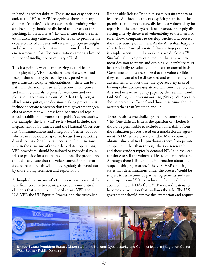in handling vulnerabilities. These are not easy decisions, and, as the "E" in "VEP" recognizes, there are many diferent "equities" to be assessed in determining when a vulnerability should be disclosed to the vendor for patching. In particular, a VEP can ensure that the interest in disclosing vulnerabilities for repair to promote the cybersecurity of all users will receive appropriate weight and that it will not be lost in the pressured and secretive environment of classifed conversations among a limited number of intelligence or military officials.

This last point is worth emphasizing as a critical role to be played by VEP procedures. Despite widespread recognition of the cybersecurity risks posed when governments stockpile vulnerabilities, $11$  there can be a natural inclination by law enforcement, intelligence, and military officials to press for retention and exploitation. To ensure a robust VEP that truly weighs all relevant equities, the decision-making process must include adequate representation from government agencies or actors that will press for disclosure and repair of vulnerabilities to promote the public's cybersecurity. For example, the U.S. VEP review board includes the Department of Commerce and the National Cybersecurity Communications and Integration Center, both of which can provide a perspective focused on protecting digital security for all users. Because diferent nations vary in the structure of their cyber-related operations, VEP procedures should be tailored to individual countries to provide for such representation. The procedures should also ensure that the voices counseling in favor of disclosure and repair will not be regularly drowned out by those urging retention and exploitation.

Although the structure of VEP review boards will likely vary from country to country, there are some critical elements that should be included in any VEP, and the U.S. VEP, the UK Equities Process, and the Australian

Responsible Release Principles share certain important features. All three documents explicitly start from the premise that, in most cases, disclosing a vulnerability for repair is in the country's national interest. Promptly disclosing a newly discovered vulnerability to the manufacturer allows companies to develop patches and protect the cybersecurity of all users. As the Australian Responsible Release Principles state: "Our starting position is simple: when we find a weakness, we disclose it."<sup>12</sup> Similarly, all three processes require that any government decision to retain and exploit a vulnerability must be periodically reevaluated on at least an annual basis. Governments must recognize that the vulnerabilities they retain can also be discovered and exploited by their adversaries, and, over time, the cybersecurity risks of leaving vulnerabilities unpatched will continue to grow. As stated in a recent policy paper by the German think tank Stiftung Neue Verantwortung (SNV), VEP policies should determine "'when' and 'how' disclosure should occur rather than 'whether' and 'if.'"13

There are also some challenges that are common to any VEP. One difficult issue is the question of whether it should be permissible to exclude a vulnerability from the evaluation process based on a nondisclosure agreement (NDA) with a private vendor. Many countries obtain vulnerabilities by purchasing them from private companies rather than through their own research, and these vendors typically demand NDAs so they can continue to sell the vulnerabilities to other purchasers. Although there is little public information about the scope of this gray market, $14$  the U.S. VEP explicitly states that determinations under the process "could be subject to restrictions by partner agreements and sensitive operations."<sup>15</sup> This exclusion of vulnerabilities acquired under NDAs from VEP review threatens to become an exception that swallows the rule. The U.S. government should remove this exemption and require